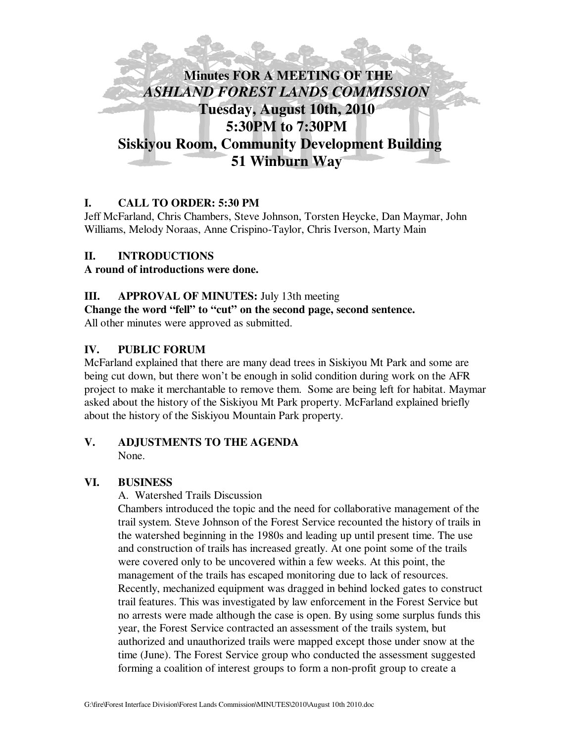

## **I. CALL TO ORDER: 5:30 PM**

Jeff McFarland, Chris Chambers, Steve Johnson, Torsten Heycke, Dan Maymar, John Williams, Melody Noraas, Anne Crispino-Taylor, Chris Iverson, Marty Main

### **II. INTRODUCTIONS**

### **A round of introductions were done.**

### **III. APPROVAL OF MINUTES:** July 13th meeting

**Change the word "fell" to "cut" on the second page, second sentence.**

All other minutes were approved as submitted.

### **IV. PUBLIC FORUM**

McFarland explained that there are many dead trees in Siskiyou Mt Park and some are being cut down, but there won't be enough in solid condition during work on the AFR project to make it merchantable to remove them. Some are being left for habitat. Maymar asked about the history of the Siskiyou Mt Park property. McFarland explained briefly about the history of the Siskiyou Mountain Park property.

### **V. ADJUSTMENTS TO THE AGENDA** None.

### **VI. BUSINESS**

A. Watershed Trails Discussion

Chambers introduced the topic and the need for collaborative management of the trail system. Steve Johnson of the Forest Service recounted the history of trails in the watershed beginning in the 1980s and leading up until present time. The use and construction of trails has increased greatly. At one point some of the trails were covered only to be uncovered within a few weeks. At this point, the management of the trails has escaped monitoring due to lack of resources. Recently, mechanized equipment was dragged in behind locked gates to construct trail features. This was investigated by law enforcement in the Forest Service but no arrests were made although the case is open. By using some surplus funds this year, the Forest Service contracted an assessment of the trails system, but authorized and unauthorized trails were mapped except those under snow at the time (June). The Forest Service group who conducted the assessment suggested forming a coalition of interest groups to form a non-profit group to create a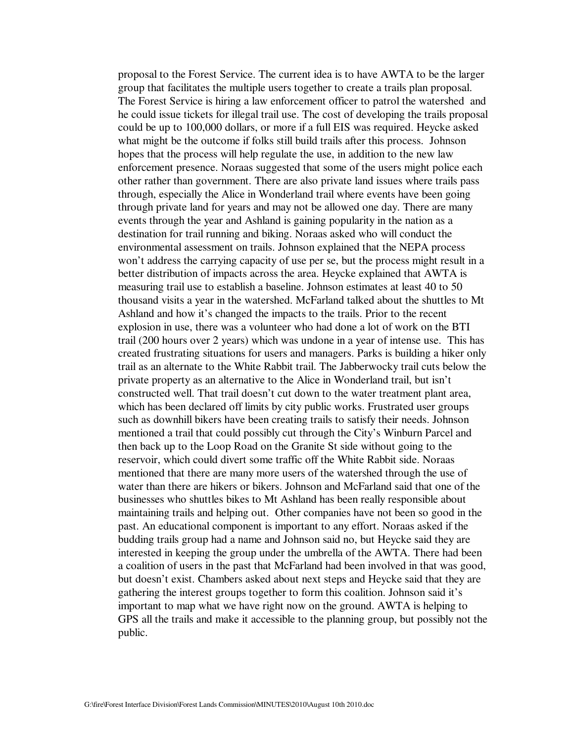proposal to the Forest Service. The current idea is to have AWTA to be the larger group that facilitates the multiple users together to create a trails plan proposal. The Forest Service is hiring a law enforcement officer to patrol the watershed and he could issue tickets for illegal trail use. The cost of developing the trails proposal could be up to 100,000 dollars, or more if a full EIS was required. Heycke asked what might be the outcome if folks still build trails after this process. Johnson hopes that the process will help regulate the use, in addition to the new law enforcement presence. Noraas suggested that some of the users might police each other rather than government. There are also private land issues where trails pass through, especially the Alice in Wonderland trail where events have been going through private land for years and may not be allowed one day. There are many events through the year and Ashland is gaining popularity in the nation as a destination for trail running and biking. Noraas asked who will conduct the environmental assessment on trails. Johnson explained that the NEPA process won't address the carrying capacity of use per se, but the process might result in a better distribution of impacts across the area. Heycke explained that AWTA is measuring trail use to establish a baseline. Johnson estimates at least 40 to 50 thousand visits a year in the watershed. McFarland talked about the shuttles to Mt Ashland and how it's changed the impacts to the trails. Prior to the recent explosion in use, there was a volunteer who had done a lot of work on the BTI trail (200 hours over 2 years) which was undone in a year of intense use. This has created frustrating situations for users and managers. Parks is building a hiker only trail as an alternate to the White Rabbit trail. The Jabberwocky trail cuts below the private property as an alternative to the Alice in Wonderland trail, but isn't constructed well. That trail doesn't cut down to the water treatment plant area, which has been declared off limits by city public works. Frustrated user groups such as downhill bikers have been creating trails to satisfy their needs. Johnson mentioned a trail that could possibly cut through the City's Winburn Parcel and then back up to the Loop Road on the Granite St side without going to the reservoir, which could divert some traffic off the White Rabbit side. Noraas mentioned that there are many more users of the watershed through the use of water than there are hikers or bikers. Johnson and McFarland said that one of the businesses who shuttles bikes to Mt Ashland has been really responsible about maintaining trails and helping out. Other companies have not been so good in the past. An educational component is important to any effort. Noraas asked if the budding trails group had a name and Johnson said no, but Heycke said they are interested in keeping the group under the umbrella of the AWTA. There had been a coalition of users in the past that McFarland had been involved in that was good, but doesn't exist. Chambers asked about next steps and Heycke said that they are gathering the interest groups together to form this coalition. Johnson said it's important to map what we have right now on the ground. AWTA is helping to GPS all the trails and make it accessible to the planning group, but possibly not the public.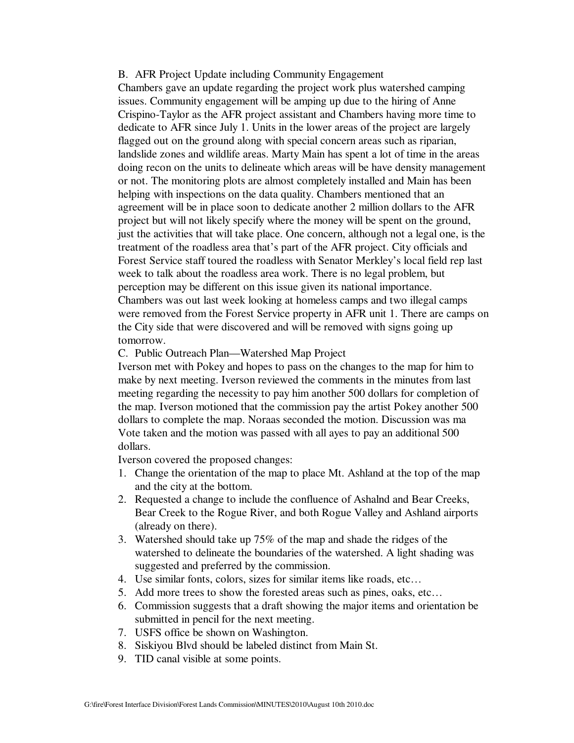#### B. AFR Project Update including Community Engagement

Chambers gave an update regarding the project work plus watershed camping issues. Community engagement will be amping up due to the hiring of Anne Crispino-Taylor as the AFR project assistant and Chambers having more time to dedicate to AFR since July 1. Units in the lower areas of the project are largely flagged out on the ground along with special concern areas such as riparian, landslide zones and wildlife areas. Marty Main has spent a lot of time in the areas doing recon on the units to delineate which areas will be have density management or not. The monitoring plots are almost completely installed and Main has been helping with inspections on the data quality. Chambers mentioned that an agreement will be in place soon to dedicate another 2 million dollars to the AFR project but will not likely specify where the money will be spent on the ground, just the activities that will take place. One concern, although not a legal one, is the treatment of the roadless area that's part of the AFR project. City officials and Forest Service staff toured the roadless with Senator Merkley's local field rep last week to talk about the roadless area work. There is no legal problem, but perception may be different on this issue given its national importance. Chambers was out last week looking at homeless camps and two illegal camps were removed from the Forest Service property in AFR unit 1. There are camps on the City side that were discovered and will be removed with signs going up tomorrow.

#### C. Public Outreach Plan—Watershed Map Project

Iverson met with Pokey and hopes to pass on the changes to the map for him to make by next meeting. Iverson reviewed the comments in the minutes from last meeting regarding the necessity to pay him another 500 dollars for completion of the map. Iverson motioned that the commission pay the artist Pokey another 500 dollars to complete the map. Noraas seconded the motion. Discussion was ma Vote taken and the motion was passed with all ayes to pay an additional 500 dollars.

Iverson covered the proposed changes:

- 1. Change the orientation of the map to place Mt. Ashland at the top of the map and the city at the bottom.
- 2. Requested a change to include the confluence of Ashalnd and Bear Creeks, Bear Creek to the Rogue River, and both Rogue Valley and Ashland airports (already on there).
- 3. Watershed should take up 75% of the map and shade the ridges of the watershed to delineate the boundaries of the watershed. A light shading was suggested and preferred by the commission.
- 4. Use similar fonts, colors, sizes for similar items like roads, etc…
- 5. Add more trees to show the forested areas such as pines, oaks, etc…
- 6. Commission suggests that a draft showing the major items and orientation be submitted in pencil for the next meeting.
- 7. USFS office be shown on Washington.
- 8. Siskiyou Blvd should be labeled distinct from Main St.
- 9. TID canal visible at some points.